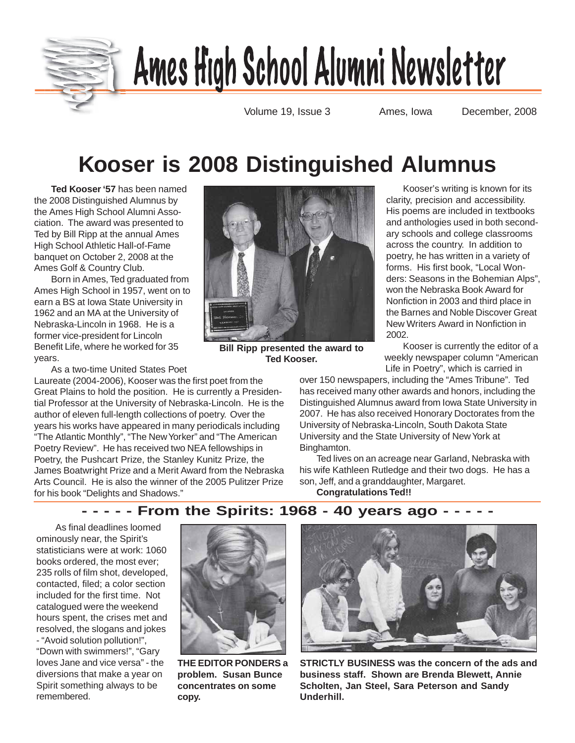

# <u>Ames High School Alumni Newsletter</u>

Volume 19, Issue 3 Ames, Iowa December, 2008

## **Kooser is 2008 Distinguished Alumnus**

**Ted Kooser '57** has been named the 2008 Distinguished Alumnus by the Ames High School Alumni Association. The award was presented to Ted by Bill Ripp at the annual Ames High School Athletic Hall-of-Fame banquet on October 2, 2008 at the Ames Golf & Country Club.

Born in Ames, Ted graduated from Ames High School in 1957, went on to earn a BS at Iowa State University in 1962 and an MA at the University of Nebraska-Lincoln in 1968. He is a former vice-president for Lincoln Benefit Life, where he worked for 35 years.

As a two-time United States Poet

Laureate (2004-2006), Kooser was the first poet from the Great Plains to hold the position. He is currently a Presidential Professor at the University of Nebraska-Lincoln. He is the author of eleven full-length collections of poetry. Over the years his works have appeared in many periodicals including "The Atlantic Monthly", "The New Yorker" and "The American Poetry Review". He has received two NEA fellowships in Poetry, the Pushcart Prize, the Stanley Kunitz Prize, the James Boatwright Prize and a Merit Award from the Nebraska Arts Council. He is also the winner of the 2005 Pulitzer Prize for his book "Delights and Shadows."



**Bill Ripp presented the award to Ted Kooser.**

Kooser's writing is known for its clarity, precision and accessibility. His poems are included in textbooks and anthologies used in both secondary schools and college classrooms across the country. In addition to poetry, he has written in a variety of forms. His first book, "Local Wonders: Seasons in the Bohemian Alps", won the Nebraska Book Award for Nonfiction in 2003 and third place in the Barnes and Noble Discover Great New Writers Award in Nonfiction in 2002.

Kooser is currently the editor of a weekly newspaper column "American Life in Poetry", which is carried in

over 150 newspapers, including the "Ames Tribune". Ted has received many other awards and honors, including the Distinguished Alumnus award from Iowa State University in 2007. He has also received Honorary Doctorates from the University of Nebraska-Lincoln, South Dakota State University and the State University of New York at Binghamton.

Ted lives on an acreage near Garland, Nebraska with his wife Kathleen Rutledge and their two dogs. He has a son, Jeff, and a granddaughter, Margaret.

**Congratulations Ted!!**

### **- - - - - From the Spirits: 1968 - 40 years ago - - - - -**

 As final deadlines loomed ominously near, the Spirit's statisticians were at work: 1060 books ordered, the most ever; 235 rolls of film shot, developed, contacted, filed; a color section included for the first time. Not catalogued were the weekend hours spent, the crises met and resolved, the slogans and jokes - "Avoid solution pollution!", "Down with swimmers!", "Gary loves Jane and vice versa" - the diversions that make a year on Spirit something always to be remembered.



**THE EDITOR PONDERS a problem. Susan Bunce concentrates on some copy.**



**STRICTLY BUSINESS was the concern of the ads and business staff. Shown are Brenda Blewett, Annie Scholten, Jan Steel, Sara Peterson and Sandy Underhill.**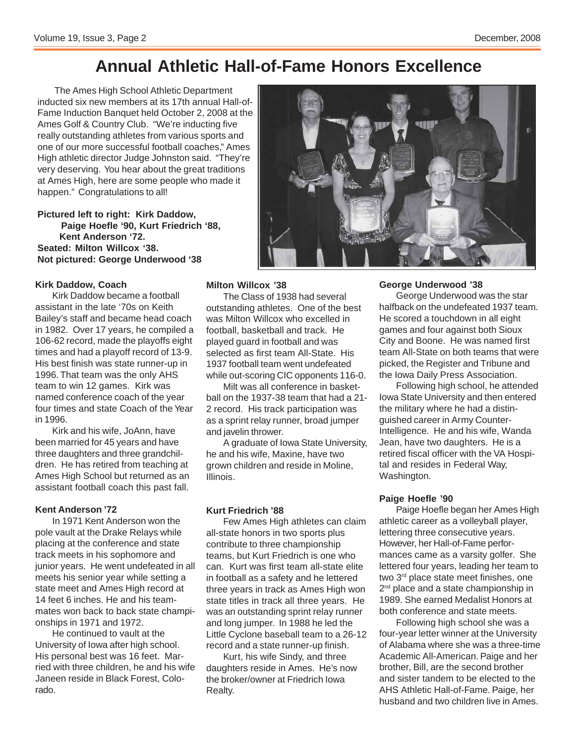### **Annual Athletic Hall-of-Fame Honors Excellence**

The Ames High School Athletic Department inducted six new members at its 17th annual Hall-of-Fame Induction Banquet held October 2, 2008 at the Ames Golf & Country Club. "We're inducting five really outstanding athletes from various sports and one of our more successful football coaches," Ames High athletic director Judge Johnston said. "They're very deserving. You hear about the great traditions at Ames High, here are some people who made it happen." Congratulations to all!

**Pictured left to right: Kirk Daddow, Paige Hoefle '90, Kurt Friedrich '88, Kent Anderson '72. Seated: Milton Willcox '38. Not pictured: George Underwood '38**

#### **Kirk Daddow, Coach**

Kirk Daddow became a football assistant in the late '70s on Keith Bailey's staff and became head coach in 1982. Over 17 years, he compiled a 106-62 record, made the playoffs eight times and had a playoff record of 13-9. His best finish was state runner-up in 1996. That team was the only AHS team to win 12 games. Kirk was named conference coach of the year four times and state Coach of the Year in 1996.

Kirk and his wife, JoAnn, have been married for 45 years and have three daughters and three grandchildren. He has retired from teaching at Ames High School but returned as an assistant football coach this past fall.

#### **Kent Anderson '72**

In 1971 Kent Anderson won the pole vault at the Drake Relays while placing at the conference and state track meets in his sophomore and junior years. He went undefeated in all meets his senior year while setting a state meet and Ames High record at 14 feet 6 inches. He and his teammates won back to back state championships in 1971 and 1972.

He continued to vault at the University of Iowa after high school. His personal best was 16 feet. Married with three children, he and his wife Janeen reside in Black Forest, Colorado.



### **Milton Willcox '38**

The Class of 1938 had several outstanding athletes. One of the best was Milton Willcox who excelled in football, basketball and track. He played guard in football and was selected as first team All-State. His 1937 football team went undefeated while out-scoring CIC opponents 116-0.

Milt was all conference in basketball on the 1937-38 team that had a 21- 2 record. His track participation was as a sprint relay runner, broad jumper and javelin thrower.

A graduate of Iowa State University, he and his wife, Maxine, have two grown children and reside in Moline, Illinois.

### **Kurt Friedrich '88**

Few Ames High athletes can claim all-state honors in two sports plus contribute to three championship teams, but Kurt Friedrich is one who can. Kurt was first team all-state elite in football as a safety and he lettered three years in track as Ames High won state titles in track all three years. He was an outstanding sprint relay runner and long jumper. In 1988 he led the Little Cyclone baseball team to a 26-12 record and a state runner-up finish.

Kurt, his wife Sindy, and three daughters reside in Ames. He's now the broker/owner at Friedrich Iowa Realty.

#### **George Underwood '38**

George Underwood was the star halfback on the undefeated 1937 team. He scored a touchdown in all eight games and four against both Sioux City and Boone. He was named first team All-State on both teams that were picked, the Register and Tribune and the Iowa Daily Press Association.

Following high school, he attended Iowa State University and then entered the military where he had a distinguished career in Army Counter-Intelligence. He and his wife, Wanda Jean, have two daughters. He is a retired fiscal officer with the VA Hospital and resides in Federal Way, Washington.

#### **Paige Hoefle '90**

Paige Hoefle began her Ames High athletic career as a volleyball player, lettering three consecutive years. However, her Hall-of-Fame performances came as a varsity golfer. She lettered four years, leading her team to two 3<sup>rd</sup> place state meet finishes, one 2<sup>nd</sup> place and a state championship in 1989. She earned Medalist Honors at both conference and state meets.

Following high school she was a four-year letter winner at the University of Alabama where she was a three-time Academic All-American. Paige and her brother, Bill, are the second brother and sister tandem to be elected to the AHS Athletic Hall-of-Fame. Paige, her husband and two children live in Ames.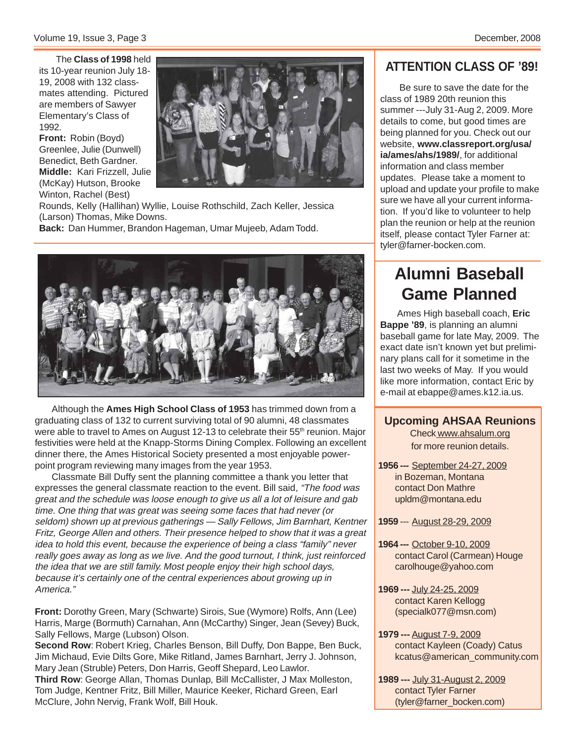The **Class of 1998** held its 10-year reunion July 18- 19, 2008 with 132 classmates attending. Pictured are members of Sawyer Elementary's Class of 1992.

**Front:** Robin (Boyd) Greenlee, Julie (Dunwell) Benedict, Beth Gardner. **Middle:** Kari Frizzell, Julie (McKay) Hutson, Brooke Winton, Rachel (Best)



Rounds, Kelly (Hallihan) Wyllie, Louise Rothschild, Zach Keller, Jessica (Larson) Thomas, Mike Downs.

**Back:** Dan Hummer, Brandon Hageman, Umar Mujeeb, Adam Todd.



Although the **Ames High School Class of 1953** has trimmed down from a graduating class of 132 to current surviving total of 90 alumni, 48 classmates were able to travel to Ames on August 12-13 to celebrate their 55<sup>th</sup> reunion. Major festivities were held at the Knapp-Storms Dining Complex. Following an excellent dinner there, the Ames Historical Society presented a most enjoyable powerpoint program reviewing many images from the year 1953.

Classmate Bill Duffy sent the planning committee a thank you letter that expresses the general classmate reaction to the event. Bill said, "The food was great and the schedule was loose enough to give us all a lot of leisure and gab time. One thing that was great was seeing some faces that had never (or seldom) shown up at previous gatherings — Sally Fellows, Jim Barnhart, Kentner Fritz, George Allen and others. Their presence helped to show that it was a great idea to hold this event, because the experience of being a class "family" never really goes away as long as we live. And the good turnout, I think, just reinforced the idea that we are still family. Most people enjoy their high school days, because it's certainly one of the central experiences about growing up in America."

**Front:** Dorothy Green, Mary (Schwarte) Sirois, Sue (Wymore) Rolfs, Ann (Lee) Harris, Marge (Bormuth) Carnahan, Ann (McCarthy) Singer, Jean (Sevey) Buck, Sally Fellows, Marge (Lubson) Olson.

**Second Row**: Robert Krieg, Charles Benson, Bill Duffy, Don Bappe, Ben Buck, Jim Michaud, Evie Dilts Gore, Mike Ritland, James Barnhart, Jerry J. Johnson, Mary Jean (Struble) Peters, Don Harris, Geoff Shepard, Leo Lawlor.

**Third Row**: George Allan, Thomas Dunlap, Bill McCallister, J Max Molleston, Tom Judge, Kentner Fritz, Bill Miller, Maurice Keeker, Richard Green, Earl McClure, John Nervig, Frank Wolf, Bill Houk.

### **ATTENTION CLASS OF '89!**

 Be sure to save the date for the class of 1989 20th reunion this summer ---July 31-Aug 2, 2009. More details to come, but good times are being planned for you. Check out our website, **www.classreport.org/usa/ ia/ames/ahs/1989/**, for additional information and class member updates. Please take a moment to upload and update your profile to make sure we have all your current information. If you'd like to volunteer to help plan the reunion or help at the reunion itself, please contact Tyler Farner at: tyler@farner-bocken.com.

### **Alumni Baseball Game Planned**

Ames High baseball coach, **Eric Bappe '89**, is planning an alumni baseball game for late May, 2009. The exact date isn't known yet but preliminary plans call for it sometime in the last two weeks of May. If you would like more information, contact Eric by e-mail at ebappe@ames.k12.ia.us.

**Upcoming AHSAA Reunions** Check www.ahsalum.org for more reunion details.

**1956 ---** September 24-27, 2009 in Bozeman, Montana contact Don Mathre upldm@montana.edu

**1959** --- August 28-29, 2009

- **1964 ---** October 9-10, 2009 contact Carol (Carmean) Houge carolhouge@yahoo.com
- **1969 ---** July 24-25, 2009 contact Karen Kellogg (specialk077@msn.com)
- **1979 ---** August 7-9, 2009 contact Kayleen (Coady) Catus kcatus@american\_community.com
- **1989 ---** July 31-August 2, 2009 contact Tyler Farner (tyler@farner\_bocken.com)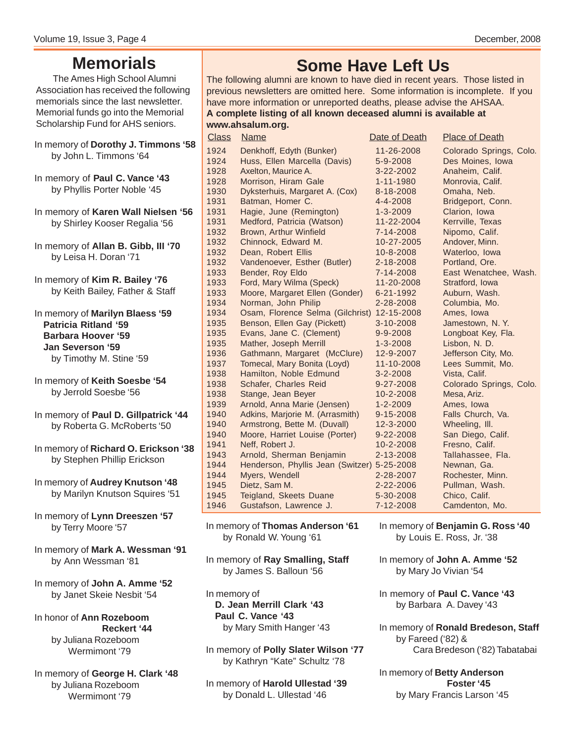### **Memorials**

The Ames High School Alumni Association has received the following memorials since the last newsletter. Memorial funds go into the Memorial Scholarship Fund for AHS seniors.

- In memory of **Dorothy J. Timmons '58** by John L. Timmons '64
- In memory of **Paul C. Vance '43** by Phyllis Porter Noble '45
- In memory of **Karen Wall Nielsen '56** by Shirley Kooser Regalia '56
- In memory of **Allan B. Gibb, III '70** by Leisa H. Doran '71
- In memory of **Kim R. Bailey '76** by Keith Bailey, Father & Staff
- In memory of **Marilyn Blaess '59 Patricia Ritland '59 Barbara Hoover '59 Jan Severson '59** by Timothy M. Stine '59
- In memory of **Keith Soesbe '54** by Jerrold Soesbe '56
- In memory of **Paul D. Gillpatrick '44** by Roberta G. McRoberts '50
- In memory of **Richard O. Erickson '38** by Stephen Phillip Erickson
- In memory of **Audrey Knutson '48** by Marilyn Knutson Squires '51
- In memory of **Lynn Dreeszen '57** by Terry Moore '57
- In memory of **Mark A. Wessman '91** by Ann Wessman '81
- In memory of **John A. Amme '52** by Janet Skeie Nesbit '54
- In honor of **Ann Rozeboom Reckert '44** by Juliana Rozeboom Wermimont '79
- In memory of **George H. Clark '48** by Juliana Rozeboom Wermimont '79

### **Some Have Left Us**

The following alumni are known to have died in recent years. Those listed in previous newsletters are omitted here. Some information is incomplete. If you have more information or unreported deaths, please advise the AHSAA. **A complete listing of all known deceased alumni is available at www.ahsalum.org.**

 Denkhoff, Edyth (Bunker) 11-26-2008 Colorado Springs, Colo. Huss, Ellen Marcella (Davis) 5-9-2008 Des Moines, Iowa 1928 Axelton, Maurice A. 3-22-2002 Anaheim, Calif. Morrison, Hiram Gale 1-11-1980 Monrovia, Calif. Dyksterhuis, Margaret A. (Cox) 8-18-2008 Omaha, Neb. Batman, Homer C. 4-4-2008 Bridgeport, Conn. Hagie, June (Remington) 1-3-2009 Clarion, Iowa Medford, Patricia (Watson) 11-22-2004 Kerrville, Texas 1932 Brown, Arthur Winfield 7-14-2008 Nipomo, Calif. 1932 Chinnock, Edward M. 10-27-2005 Andover, Minn. Dean, Robert Ellis 10-8-2008 Waterloo, Iowa 1932 Vandenoever, Esther (Butler) 2-18-2008 Portland, Ore. Bender, Roy Eldo 7-14-2008 East Wenatchee, Wash. 1933 Ford, Mary Wilma (Speck) 11-20-2008 Stratford, Iowa Moore, Margaret Ellen (Gonder) 6-21-1992 Auburn, Wash. Norman, John Philip 2-28-2008 Columbia, Mo. Osam, Florence Selma (Gilchrist) 12-15-2008 Ames, Iowa Benson, Ellen Gay (Pickett) 3-10-2008 Jamestown, N. Y. Evans, Jane C. (Clement) 9-9-2008 Longboat Key, Fla. 1935 Mather, Joseph Merrill 1-3-2008 Lisbon, N. D. Gathmann, Margaret (McClure) 12-9-2007 Jefferson City, Mo. 1937 Tomecal, Mary Bonita (Loyd) 11-10-2008 Lees Summit, Mo. Hamilton, Noble Edmund 3-2-2008 Vista, Calif. Schafer, Charles Reid 9-27-2008 Colorado Springs, Colo. 1938 Stange, Jean Beyer 10-2-2008 Mesa, Ariz. 1939 Arnold, Anna Marie (Jensen) 1-2-2009 Ames, Iowa Adkins, Marjorie M. (Arrasmith) 9-15-2008 Falls Church, Va. Armstrong, Bette M. (Duvall) 12-3-2000 Wheeling, Ill. 1940 Moore, Harriet Louise (Porter) 9-22-2008 San Diego, Calif.<br>1941 Neff. Robert J. (10-2-2008 Fresno, Calif.) Neff, Robert J. 10-2-2008 Fresno, Calif. Arnold, Sherman Benjamin 2-13-2008 Tallahassee, Fla. Henderson, Phyllis Jean (Switzer) 5-25-2008 Newnan, Ga. Myers, Wendell 2-28-2007 Rochester, Minn. Dietz, Sam M. 2-22-2006 Pullman, Wash. 1945 Teigland, Skeets Duane 5-30-2008 Chico, Calif. Gustafson, Lawrence J. 7-12-2008 Camdenton, Mo. **Class** Name **Date of Death** Place of Death **Place** of Death

- In memory of **Thomas Anderson '61** by Ronald W. Young '61
- In memory of **Ray Smalling, Staff** by James S. Balloun '56
- In memory of **D. Jean Merrill Clark '43 Paul C. Vance '43** by Mary Smith Hanger '43
- In memory of **Polly Slater Wilson '77** by Kathryn "Kate" Schultz '78
- In memory of **Harold Ullestad '39** by Donald L. Ullestad '46

- In memory of **Benjamin G. Ross '40** by Louis E. Ross, Jr. '38
- In memory of **John A. Amme '52** by Mary Jo Vivian '54
- In memory of **Paul C. Vance '43** by Barbara A. Davey '43
- In memory of **Ronald Bredeson, Staff** by Fareed ('82) & Cara Bredeson ('82) Tabatabai
- In memory of **Betty Anderson Foster '45** by Mary Francis Larson '45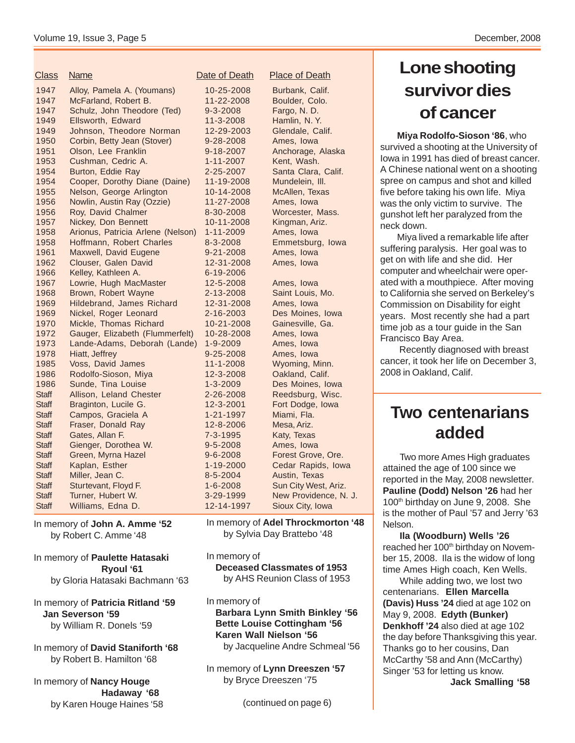| 1947<br>Alloy, Pamela A. (Youmans)<br>10-25-2008<br>Burbank, Calif.<br>11-22-2008<br>Boulder, Colo.<br>McFarland, Robert B.<br>1947<br>1947<br>Schulz, John Theodore (Ted)<br>9-3-2008<br>Fargo, N.D.<br>1949<br>Ellsworth, Edward<br>11-3-2008<br>Hamlin, N.Y.<br>Johnson, Theodore Norman<br>1949<br>12-29-2003<br>Glendale, Calif.<br>1950<br>Corbin, Betty Jean (Stover)<br>9-28-2008<br>Ames, Iowa<br>1951<br>Olson, Lee Franklin<br>9-18-2007<br>Anchorage, Alaska<br>1953<br>Cushman, Cedric A.<br>Kent, Wash.<br>$1 - 11 - 2007$<br>1954<br>Burton, Eddie Ray<br>2-25-2007<br>Santa Clara, Calif.<br>Cooper, Dorothy Diane (Daine)<br>1954<br>11-19-2008<br>Mundelein, III.<br>1955<br>Nelson, George Arlington<br>10-14-2008<br>McAllen, Texas<br>1956<br>11-27-2008<br>Ames, Iowa<br>Nowlin, Austin Ray (Ozzie)<br>Roy, David Chalmer<br>Worcester, Mass.<br>1956<br>8-30-2008<br>1957<br>Nickey, Don Bennett<br>10-11-2008<br>Kingman, Ariz.<br>1958<br>Arionus, Patricia Arlene (Nelson)<br>1-11-2009<br>Ames, Iowa<br>1958<br>Hoffmann, Robert Charles<br>8-3-2008<br>Emmetsburg, Iowa<br>1961<br>9-21-2008<br>Maxwell, David Eugene<br>Ames, Iowa<br>1962<br>Clouser, Galen David<br>12-31-2008<br>Ames, Iowa<br>1966<br>Kelley, Kathleen A.<br>6-19-2006<br>1967<br>Lowrie, Hugh MacMaster<br>12-5-2008<br>Ames, Iowa<br>1968<br>Brown, Robert Wayne<br>2-13-2008<br>Saint Louis, Mo.<br>1969<br>Hildebrand, James Richard<br>12-31-2008<br>Ames, Iowa<br>1969<br>Nickel, Roger Leonard<br>2-16-2003<br>Des Moines, Iowa<br>Mickle, Thomas Richard<br>1970<br>10-21-2008<br>Gainesville, Ga.<br>1972<br>Gauger, Elizabeth (Flummerfelt)<br>10-28-2008<br>Ames, Iowa<br>1973<br>Lande-Adams, Deborah (Lande)<br>$1 - 9 - 2009$<br>Ames, Iowa<br>1978<br>Hiatt, Jeffrey<br>9-25-2008<br>Ames, Iowa<br>Voss, David James<br>1985<br>11-1-2008<br>Wyoming, Minn.<br>Rodolfo-Sioson, Miya<br>1986<br>12-3-2008<br>Oakland, Calif.<br>1986<br>Sunde, Tina Louise<br>Des Moines, Iowa<br>$1 - 3 - 2009$<br><b>Staff</b><br>Allison, Leland Chester<br>2-26-2008<br>Reedsburg, Wisc.<br><b>Staff</b><br>Braginton, Lucile G.<br>12-3-2001<br>Fort Dodge, Iowa<br>Campos, Graciela A<br><b>Staff</b><br>1-21-1997<br>Miami, Fla.<br><b>Staff</b><br>Fraser, Donald Ray<br>Mesa, Ariz.<br>12-8-2006<br><b>Staff</b><br>Gates, Allan F.<br>$7 - 3 - 1995$<br>Katy, Texas<br>$9 - 5 - 2008$<br>Ames, Iowa<br><b>Staff</b><br>Gienger, Dorothea W.<br><b>Staff</b><br>Green, Myrna Hazel<br>$9 - 6 - 2008$<br>Forest Grove, Ore.<br><b>Staff</b><br>Kaplan, Esther<br>Cedar Rapids, Iowa<br>1-19-2000<br>Miller, Jean C.<br>$8 - 5 - 2004$<br>Austin, Texas<br><b>Staff</b><br><b>Staff</b><br>Sturtevant, Floyd F.<br>$1 - 6 - 2008$<br>Sun City West, Ariz.<br><b>Staff</b><br>Turner, Hubert W.<br>3-29-1999<br>New Providence, N. J.<br>Williams, Edna D.<br>Sioux City, Iowa<br><b>Staff</b><br>12-14-1997 | <b>Class</b> | Name | Date of Death | <b>Place of Death</b> |
|-------------------------------------------------------------------------------------------------------------------------------------------------------------------------------------------------------------------------------------------------------------------------------------------------------------------------------------------------------------------------------------------------------------------------------------------------------------------------------------------------------------------------------------------------------------------------------------------------------------------------------------------------------------------------------------------------------------------------------------------------------------------------------------------------------------------------------------------------------------------------------------------------------------------------------------------------------------------------------------------------------------------------------------------------------------------------------------------------------------------------------------------------------------------------------------------------------------------------------------------------------------------------------------------------------------------------------------------------------------------------------------------------------------------------------------------------------------------------------------------------------------------------------------------------------------------------------------------------------------------------------------------------------------------------------------------------------------------------------------------------------------------------------------------------------------------------------------------------------------------------------------------------------------------------------------------------------------------------------------------------------------------------------------------------------------------------------------------------------------------------------------------------------------------------------------------------------------------------------------------------------------------------------------------------------------------------------------------------------------------------------------------------------------------------------------------------------------------------------------------------------------------------------------------------------------------------------------------------------------------------------------------------------------------------------------------------------------------------------------------------------------------------------------------------------------------------------------------------------------------------------------------------------------------|--------------|------|---------------|-----------------------|
|                                                                                                                                                                                                                                                                                                                                                                                                                                                                                                                                                                                                                                                                                                                                                                                                                                                                                                                                                                                                                                                                                                                                                                                                                                                                                                                                                                                                                                                                                                                                                                                                                                                                                                                                                                                                                                                                                                                                                                                                                                                                                                                                                                                                                                                                                                                                                                                                                                                                                                                                                                                                                                                                                                                                                                                                                                                                                                                   |              |      |               |                       |
|                                                                                                                                                                                                                                                                                                                                                                                                                                                                                                                                                                                                                                                                                                                                                                                                                                                                                                                                                                                                                                                                                                                                                                                                                                                                                                                                                                                                                                                                                                                                                                                                                                                                                                                                                                                                                                                                                                                                                                                                                                                                                                                                                                                                                                                                                                                                                                                                                                                                                                                                                                                                                                                                                                                                                                                                                                                                                                                   |              |      |               |                       |
|                                                                                                                                                                                                                                                                                                                                                                                                                                                                                                                                                                                                                                                                                                                                                                                                                                                                                                                                                                                                                                                                                                                                                                                                                                                                                                                                                                                                                                                                                                                                                                                                                                                                                                                                                                                                                                                                                                                                                                                                                                                                                                                                                                                                                                                                                                                                                                                                                                                                                                                                                                                                                                                                                                                                                                                                                                                                                                                   |              |      |               |                       |
|                                                                                                                                                                                                                                                                                                                                                                                                                                                                                                                                                                                                                                                                                                                                                                                                                                                                                                                                                                                                                                                                                                                                                                                                                                                                                                                                                                                                                                                                                                                                                                                                                                                                                                                                                                                                                                                                                                                                                                                                                                                                                                                                                                                                                                                                                                                                                                                                                                                                                                                                                                                                                                                                                                                                                                                                                                                                                                                   |              |      |               |                       |
|                                                                                                                                                                                                                                                                                                                                                                                                                                                                                                                                                                                                                                                                                                                                                                                                                                                                                                                                                                                                                                                                                                                                                                                                                                                                                                                                                                                                                                                                                                                                                                                                                                                                                                                                                                                                                                                                                                                                                                                                                                                                                                                                                                                                                                                                                                                                                                                                                                                                                                                                                                                                                                                                                                                                                                                                                                                                                                                   |              |      |               |                       |
|                                                                                                                                                                                                                                                                                                                                                                                                                                                                                                                                                                                                                                                                                                                                                                                                                                                                                                                                                                                                                                                                                                                                                                                                                                                                                                                                                                                                                                                                                                                                                                                                                                                                                                                                                                                                                                                                                                                                                                                                                                                                                                                                                                                                                                                                                                                                                                                                                                                                                                                                                                                                                                                                                                                                                                                                                                                                                                                   |              |      |               |                       |
|                                                                                                                                                                                                                                                                                                                                                                                                                                                                                                                                                                                                                                                                                                                                                                                                                                                                                                                                                                                                                                                                                                                                                                                                                                                                                                                                                                                                                                                                                                                                                                                                                                                                                                                                                                                                                                                                                                                                                                                                                                                                                                                                                                                                                                                                                                                                                                                                                                                                                                                                                                                                                                                                                                                                                                                                                                                                                                                   |              |      |               |                       |
|                                                                                                                                                                                                                                                                                                                                                                                                                                                                                                                                                                                                                                                                                                                                                                                                                                                                                                                                                                                                                                                                                                                                                                                                                                                                                                                                                                                                                                                                                                                                                                                                                                                                                                                                                                                                                                                                                                                                                                                                                                                                                                                                                                                                                                                                                                                                                                                                                                                                                                                                                                                                                                                                                                                                                                                                                                                                                                                   |              |      |               |                       |
|                                                                                                                                                                                                                                                                                                                                                                                                                                                                                                                                                                                                                                                                                                                                                                                                                                                                                                                                                                                                                                                                                                                                                                                                                                                                                                                                                                                                                                                                                                                                                                                                                                                                                                                                                                                                                                                                                                                                                                                                                                                                                                                                                                                                                                                                                                                                                                                                                                                                                                                                                                                                                                                                                                                                                                                                                                                                                                                   |              |      |               |                       |
|                                                                                                                                                                                                                                                                                                                                                                                                                                                                                                                                                                                                                                                                                                                                                                                                                                                                                                                                                                                                                                                                                                                                                                                                                                                                                                                                                                                                                                                                                                                                                                                                                                                                                                                                                                                                                                                                                                                                                                                                                                                                                                                                                                                                                                                                                                                                                                                                                                                                                                                                                                                                                                                                                                                                                                                                                                                                                                                   |              |      |               |                       |
|                                                                                                                                                                                                                                                                                                                                                                                                                                                                                                                                                                                                                                                                                                                                                                                                                                                                                                                                                                                                                                                                                                                                                                                                                                                                                                                                                                                                                                                                                                                                                                                                                                                                                                                                                                                                                                                                                                                                                                                                                                                                                                                                                                                                                                                                                                                                                                                                                                                                                                                                                                                                                                                                                                                                                                                                                                                                                                                   |              |      |               |                       |
|                                                                                                                                                                                                                                                                                                                                                                                                                                                                                                                                                                                                                                                                                                                                                                                                                                                                                                                                                                                                                                                                                                                                                                                                                                                                                                                                                                                                                                                                                                                                                                                                                                                                                                                                                                                                                                                                                                                                                                                                                                                                                                                                                                                                                                                                                                                                                                                                                                                                                                                                                                                                                                                                                                                                                                                                                                                                                                                   |              |      |               |                       |
|                                                                                                                                                                                                                                                                                                                                                                                                                                                                                                                                                                                                                                                                                                                                                                                                                                                                                                                                                                                                                                                                                                                                                                                                                                                                                                                                                                                                                                                                                                                                                                                                                                                                                                                                                                                                                                                                                                                                                                                                                                                                                                                                                                                                                                                                                                                                                                                                                                                                                                                                                                                                                                                                                                                                                                                                                                                                                                                   |              |      |               |                       |
|                                                                                                                                                                                                                                                                                                                                                                                                                                                                                                                                                                                                                                                                                                                                                                                                                                                                                                                                                                                                                                                                                                                                                                                                                                                                                                                                                                                                                                                                                                                                                                                                                                                                                                                                                                                                                                                                                                                                                                                                                                                                                                                                                                                                                                                                                                                                                                                                                                                                                                                                                                                                                                                                                                                                                                                                                                                                                                                   |              |      |               |                       |
|                                                                                                                                                                                                                                                                                                                                                                                                                                                                                                                                                                                                                                                                                                                                                                                                                                                                                                                                                                                                                                                                                                                                                                                                                                                                                                                                                                                                                                                                                                                                                                                                                                                                                                                                                                                                                                                                                                                                                                                                                                                                                                                                                                                                                                                                                                                                                                                                                                                                                                                                                                                                                                                                                                                                                                                                                                                                                                                   |              |      |               |                       |
|                                                                                                                                                                                                                                                                                                                                                                                                                                                                                                                                                                                                                                                                                                                                                                                                                                                                                                                                                                                                                                                                                                                                                                                                                                                                                                                                                                                                                                                                                                                                                                                                                                                                                                                                                                                                                                                                                                                                                                                                                                                                                                                                                                                                                                                                                                                                                                                                                                                                                                                                                                                                                                                                                                                                                                                                                                                                                                                   |              |      |               |                       |
|                                                                                                                                                                                                                                                                                                                                                                                                                                                                                                                                                                                                                                                                                                                                                                                                                                                                                                                                                                                                                                                                                                                                                                                                                                                                                                                                                                                                                                                                                                                                                                                                                                                                                                                                                                                                                                                                                                                                                                                                                                                                                                                                                                                                                                                                                                                                                                                                                                                                                                                                                                                                                                                                                                                                                                                                                                                                                                                   |              |      |               |                       |
|                                                                                                                                                                                                                                                                                                                                                                                                                                                                                                                                                                                                                                                                                                                                                                                                                                                                                                                                                                                                                                                                                                                                                                                                                                                                                                                                                                                                                                                                                                                                                                                                                                                                                                                                                                                                                                                                                                                                                                                                                                                                                                                                                                                                                                                                                                                                                                                                                                                                                                                                                                                                                                                                                                                                                                                                                                                                                                                   |              |      |               |                       |
|                                                                                                                                                                                                                                                                                                                                                                                                                                                                                                                                                                                                                                                                                                                                                                                                                                                                                                                                                                                                                                                                                                                                                                                                                                                                                                                                                                                                                                                                                                                                                                                                                                                                                                                                                                                                                                                                                                                                                                                                                                                                                                                                                                                                                                                                                                                                                                                                                                                                                                                                                                                                                                                                                                                                                                                                                                                                                                                   |              |      |               |                       |
|                                                                                                                                                                                                                                                                                                                                                                                                                                                                                                                                                                                                                                                                                                                                                                                                                                                                                                                                                                                                                                                                                                                                                                                                                                                                                                                                                                                                                                                                                                                                                                                                                                                                                                                                                                                                                                                                                                                                                                                                                                                                                                                                                                                                                                                                                                                                                                                                                                                                                                                                                                                                                                                                                                                                                                                                                                                                                                                   |              |      |               |                       |
|                                                                                                                                                                                                                                                                                                                                                                                                                                                                                                                                                                                                                                                                                                                                                                                                                                                                                                                                                                                                                                                                                                                                                                                                                                                                                                                                                                                                                                                                                                                                                                                                                                                                                                                                                                                                                                                                                                                                                                                                                                                                                                                                                                                                                                                                                                                                                                                                                                                                                                                                                                                                                                                                                                                                                                                                                                                                                                                   |              |      |               |                       |
|                                                                                                                                                                                                                                                                                                                                                                                                                                                                                                                                                                                                                                                                                                                                                                                                                                                                                                                                                                                                                                                                                                                                                                                                                                                                                                                                                                                                                                                                                                                                                                                                                                                                                                                                                                                                                                                                                                                                                                                                                                                                                                                                                                                                                                                                                                                                                                                                                                                                                                                                                                                                                                                                                                                                                                                                                                                                                                                   |              |      |               |                       |
|                                                                                                                                                                                                                                                                                                                                                                                                                                                                                                                                                                                                                                                                                                                                                                                                                                                                                                                                                                                                                                                                                                                                                                                                                                                                                                                                                                                                                                                                                                                                                                                                                                                                                                                                                                                                                                                                                                                                                                                                                                                                                                                                                                                                                                                                                                                                                                                                                                                                                                                                                                                                                                                                                                                                                                                                                                                                                                                   |              |      |               |                       |
|                                                                                                                                                                                                                                                                                                                                                                                                                                                                                                                                                                                                                                                                                                                                                                                                                                                                                                                                                                                                                                                                                                                                                                                                                                                                                                                                                                                                                                                                                                                                                                                                                                                                                                                                                                                                                                                                                                                                                                                                                                                                                                                                                                                                                                                                                                                                                                                                                                                                                                                                                                                                                                                                                                                                                                                                                                                                                                                   |              |      |               |                       |
|                                                                                                                                                                                                                                                                                                                                                                                                                                                                                                                                                                                                                                                                                                                                                                                                                                                                                                                                                                                                                                                                                                                                                                                                                                                                                                                                                                                                                                                                                                                                                                                                                                                                                                                                                                                                                                                                                                                                                                                                                                                                                                                                                                                                                                                                                                                                                                                                                                                                                                                                                                                                                                                                                                                                                                                                                                                                                                                   |              |      |               |                       |
|                                                                                                                                                                                                                                                                                                                                                                                                                                                                                                                                                                                                                                                                                                                                                                                                                                                                                                                                                                                                                                                                                                                                                                                                                                                                                                                                                                                                                                                                                                                                                                                                                                                                                                                                                                                                                                                                                                                                                                                                                                                                                                                                                                                                                                                                                                                                                                                                                                                                                                                                                                                                                                                                                                                                                                                                                                                                                                                   |              |      |               |                       |
|                                                                                                                                                                                                                                                                                                                                                                                                                                                                                                                                                                                                                                                                                                                                                                                                                                                                                                                                                                                                                                                                                                                                                                                                                                                                                                                                                                                                                                                                                                                                                                                                                                                                                                                                                                                                                                                                                                                                                                                                                                                                                                                                                                                                                                                                                                                                                                                                                                                                                                                                                                                                                                                                                                                                                                                                                                                                                                                   |              |      |               |                       |
|                                                                                                                                                                                                                                                                                                                                                                                                                                                                                                                                                                                                                                                                                                                                                                                                                                                                                                                                                                                                                                                                                                                                                                                                                                                                                                                                                                                                                                                                                                                                                                                                                                                                                                                                                                                                                                                                                                                                                                                                                                                                                                                                                                                                                                                                                                                                                                                                                                                                                                                                                                                                                                                                                                                                                                                                                                                                                                                   |              |      |               |                       |
|                                                                                                                                                                                                                                                                                                                                                                                                                                                                                                                                                                                                                                                                                                                                                                                                                                                                                                                                                                                                                                                                                                                                                                                                                                                                                                                                                                                                                                                                                                                                                                                                                                                                                                                                                                                                                                                                                                                                                                                                                                                                                                                                                                                                                                                                                                                                                                                                                                                                                                                                                                                                                                                                                                                                                                                                                                                                                                                   |              |      |               |                       |
|                                                                                                                                                                                                                                                                                                                                                                                                                                                                                                                                                                                                                                                                                                                                                                                                                                                                                                                                                                                                                                                                                                                                                                                                                                                                                                                                                                                                                                                                                                                                                                                                                                                                                                                                                                                                                                                                                                                                                                                                                                                                                                                                                                                                                                                                                                                                                                                                                                                                                                                                                                                                                                                                                                                                                                                                                                                                                                                   |              |      |               |                       |
|                                                                                                                                                                                                                                                                                                                                                                                                                                                                                                                                                                                                                                                                                                                                                                                                                                                                                                                                                                                                                                                                                                                                                                                                                                                                                                                                                                                                                                                                                                                                                                                                                                                                                                                                                                                                                                                                                                                                                                                                                                                                                                                                                                                                                                                                                                                                                                                                                                                                                                                                                                                                                                                                                                                                                                                                                                                                                                                   |              |      |               |                       |
|                                                                                                                                                                                                                                                                                                                                                                                                                                                                                                                                                                                                                                                                                                                                                                                                                                                                                                                                                                                                                                                                                                                                                                                                                                                                                                                                                                                                                                                                                                                                                                                                                                                                                                                                                                                                                                                                                                                                                                                                                                                                                                                                                                                                                                                                                                                                                                                                                                                                                                                                                                                                                                                                                                                                                                                                                                                                                                                   |              |      |               |                       |
|                                                                                                                                                                                                                                                                                                                                                                                                                                                                                                                                                                                                                                                                                                                                                                                                                                                                                                                                                                                                                                                                                                                                                                                                                                                                                                                                                                                                                                                                                                                                                                                                                                                                                                                                                                                                                                                                                                                                                                                                                                                                                                                                                                                                                                                                                                                                                                                                                                                                                                                                                                                                                                                                                                                                                                                                                                                                                                                   |              |      |               |                       |
|                                                                                                                                                                                                                                                                                                                                                                                                                                                                                                                                                                                                                                                                                                                                                                                                                                                                                                                                                                                                                                                                                                                                                                                                                                                                                                                                                                                                                                                                                                                                                                                                                                                                                                                                                                                                                                                                                                                                                                                                                                                                                                                                                                                                                                                                                                                                                                                                                                                                                                                                                                                                                                                                                                                                                                                                                                                                                                                   |              |      |               |                       |
|                                                                                                                                                                                                                                                                                                                                                                                                                                                                                                                                                                                                                                                                                                                                                                                                                                                                                                                                                                                                                                                                                                                                                                                                                                                                                                                                                                                                                                                                                                                                                                                                                                                                                                                                                                                                                                                                                                                                                                                                                                                                                                                                                                                                                                                                                                                                                                                                                                                                                                                                                                                                                                                                                                                                                                                                                                                                                                                   |              |      |               |                       |
|                                                                                                                                                                                                                                                                                                                                                                                                                                                                                                                                                                                                                                                                                                                                                                                                                                                                                                                                                                                                                                                                                                                                                                                                                                                                                                                                                                                                                                                                                                                                                                                                                                                                                                                                                                                                                                                                                                                                                                                                                                                                                                                                                                                                                                                                                                                                                                                                                                                                                                                                                                                                                                                                                                                                                                                                                                                                                                                   |              |      |               |                       |
|                                                                                                                                                                                                                                                                                                                                                                                                                                                                                                                                                                                                                                                                                                                                                                                                                                                                                                                                                                                                                                                                                                                                                                                                                                                                                                                                                                                                                                                                                                                                                                                                                                                                                                                                                                                                                                                                                                                                                                                                                                                                                                                                                                                                                                                                                                                                                                                                                                                                                                                                                                                                                                                                                                                                                                                                                                                                                                                   |              |      |               |                       |
|                                                                                                                                                                                                                                                                                                                                                                                                                                                                                                                                                                                                                                                                                                                                                                                                                                                                                                                                                                                                                                                                                                                                                                                                                                                                                                                                                                                                                                                                                                                                                                                                                                                                                                                                                                                                                                                                                                                                                                                                                                                                                                                                                                                                                                                                                                                                                                                                                                                                                                                                                                                                                                                                                                                                                                                                                                                                                                                   |              |      |               |                       |
|                                                                                                                                                                                                                                                                                                                                                                                                                                                                                                                                                                                                                                                                                                                                                                                                                                                                                                                                                                                                                                                                                                                                                                                                                                                                                                                                                                                                                                                                                                                                                                                                                                                                                                                                                                                                                                                                                                                                                                                                                                                                                                                                                                                                                                                                                                                                                                                                                                                                                                                                                                                                                                                                                                                                                                                                                                                                                                                   |              |      |               |                       |
|                                                                                                                                                                                                                                                                                                                                                                                                                                                                                                                                                                                                                                                                                                                                                                                                                                                                                                                                                                                                                                                                                                                                                                                                                                                                                                                                                                                                                                                                                                                                                                                                                                                                                                                                                                                                                                                                                                                                                                                                                                                                                                                                                                                                                                                                                                                                                                                                                                                                                                                                                                                                                                                                                                                                                                                                                                                                                                                   |              |      |               |                       |
|                                                                                                                                                                                                                                                                                                                                                                                                                                                                                                                                                                                                                                                                                                                                                                                                                                                                                                                                                                                                                                                                                                                                                                                                                                                                                                                                                                                                                                                                                                                                                                                                                                                                                                                                                                                                                                                                                                                                                                                                                                                                                                                                                                                                                                                                                                                                                                                                                                                                                                                                                                                                                                                                                                                                                                                                                                                                                                                   |              |      |               |                       |
|                                                                                                                                                                                                                                                                                                                                                                                                                                                                                                                                                                                                                                                                                                                                                                                                                                                                                                                                                                                                                                                                                                                                                                                                                                                                                                                                                                                                                                                                                                                                                                                                                                                                                                                                                                                                                                                                                                                                                                                                                                                                                                                                                                                                                                                                                                                                                                                                                                                                                                                                                                                                                                                                                                                                                                                                                                                                                                                   |              |      |               |                       |

In memory of **John A. Amme '52** by Robert C. Amme '48

In memory of **Paulette Hatasaki Ryoul '61** by Gloria Hatasaki Bachmann '63

#### In memory of **Patricia Ritland '59 Jan Severson '59** by William R. Donels '59

In memory of **David Staniforth '68** by Robert B. Hamilton '68

In memory of **Nancy Houge Hadaway '68** by Karen Houge Haines '58 In memory of **Adel Throckmorton '48** by Sylvia Day Brattebo '48

In memory of

**Deceased Classmates of 1953** by AHS Reunion Class of 1953

In memory of

**Barbara Lynn Smith Binkley '56 Bette Louise Cottingham '56 Karen Wall Nielson '56** by Jacqueline Andre Schmeal '56

In memory of **Lynn Dreeszen '57** by Bryce Dreeszen '75

(continued on page 6)

### **Lone shooting survivor dies of cancer**

**Miya Rodolfo-Sioson '86**, who survived a shooting at the University of Iowa in 1991 has died of breast cancer. A Chinese national went on a shooting spree on campus and shot and killed five before taking his own life. Miya was the only victim to survive. The gunshot left her paralyzed from the neck down.

Miya lived a remarkable life after suffering paralysis. Her goal was to get on with life and she did. Her computer and wheelchair were operated with a mouthpiece. After moving to California she served on Berkeley's Commission on Disability for eight years. Most recently she had a part time job as a tour guide in the San Francisco Bay Area.

 Recently diagnosed with breast cancer, it took her life on December 3, 2008 in Oakland, Calif.

### **Two centenarians added**

Two more Ames High graduates attained the age of 100 since we reported in the May, 2008 newsletter. **Pauline (Dodd) Nelson '26** had her 100<sup>th</sup> birthday on June 9, 2008. She is the mother of Paul '57 and Jerry '63 Nelson.

**Ila (Woodburn) Wells '26** reached her 100<sup>th</sup> birthday on November 15, 2008. Ila is the widow of long time Ames High coach, Ken Wells.

While adding two, we lost two centenarians. **Ellen Marcella (Davis) Huss '24** died at age 102 on May 9, 2008. **Edyth (Bunker) Denkhoff '24** also died at age 102 the day before Thanksgiving this year. Thanks go to her cousins, Dan McCarthy '58 and Ann (McCarthy) Singer '53 for letting us know. **Jack Smalling '58**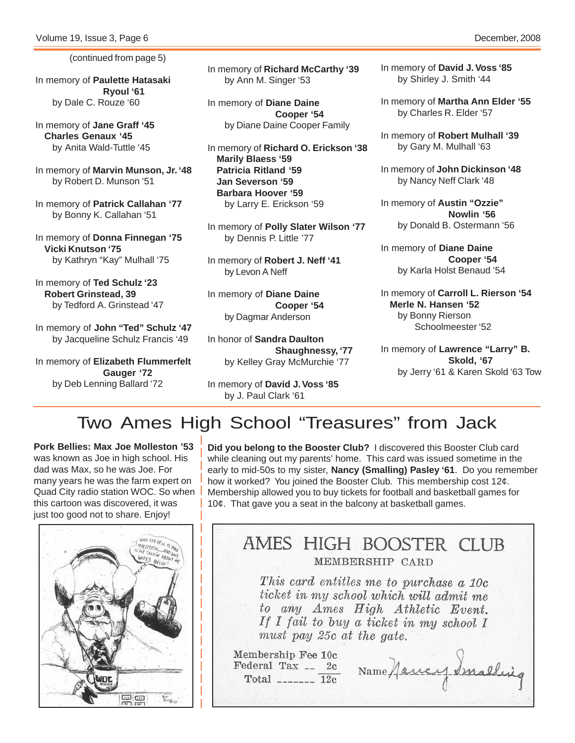(continued from page 5)

In memory of **Paulette Hatasaki Ryoul '61** by Dale C. Rouze '60

In memory of **Jane Graff '45 Charles Genaux '45** by Anita Wald-Tuttle '45

In memory of **Marvin Munson, Jr. '48** by Robert D. Munson '51

In memory of **Patrick Callahan '77** by Bonny K. Callahan '51

In memory of **Donna Finnegan '75 Vicki Knutson '75** by Kathryn "Kay" Mulhall '75

In memory of **Ted Schulz '23 Robert Grinstead, 39** by Tedford A. Grinstead '47

In memory of **John "Ted" Schulz '47** by Jacqueline Schulz Francis '49

In memory of **Elizabeth Flummerfelt Gauger '72** by Deb Lenning Ballard '72

In memory of **Richard McCarthy '39** by Ann M. Singer '53

In memory of **Diane Daine Cooper '54** by Diane Daine Cooper Family

In memory of **Richard O. Erickson '38 Marily Blaess '59 Patricia Ritland '59 Jan Severson '59 Barbara Hoover '59** by Larry E. Erickson '59

In memory of **Polly Slater Wilson '77** by Dennis P. Little '77

In memory of **Robert J. Neff '41** by Levon A Neff

In memory of **Diane Daine Cooper '54** by Dagmar Anderson

In honor of **Sandra Daulton Shaughnessy, '77** by Kelley Gray McMurchie '77

In memory of **David J. Voss '85** by J. Paul Clark '61

In memory of **David J. Voss '85** by Shirley J. Smith '44

In memory of **Martha Ann Elder '55** by Charles R. Elder '57

In memory of **Robert Mulhall '39** by Gary M. Mulhall '63

In memory of **John Dickinson '48** by Nancy Neff Clark '48

In memory of **Austin "Ozzie" Nowlin '56** by Donald B. Ostermann '56

In memory of **Diane Daine Cooper '54** by Karla Holst Benaud '54

In memory of **Carroll L. Rierson '54 Merle N. Hansen '52** by Bonny Rierson Schoolmeester '52

In memory of **Lawrence "Larry" B. Skold, '67** by Jerry '61 & Karen Skold '63 Tow

### Two Ames High School "Treasures" from Jack

**Pork Bellies: Max Joe Molleston '53** was known as Joe in high school. His dad was Max, so he was Joe. For many years he was the farm expert on Quad City radio station WOC. So when this cartoon was discovered, it was just too good not to share. Enjoy!



**Did you belong to the Booster Club?** I discovered this Booster Club card while cleaning out my parents' home. This card was issued sometime in the early to mid-50s to my sister, **Nancy (Smalling) Pasley '61**. Do you remember how it worked? You joined the Booster Club. This membership cost 12¢. Membership allowed you to buy tickets for football and basketball games for 10¢. That gave you a seat in the balcony at basketball games.

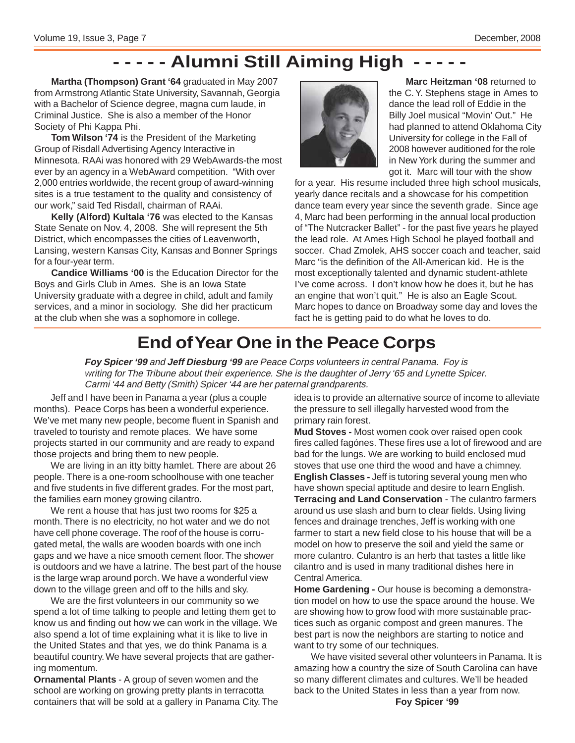### **- - - - - Alumni Still Aiming High - - - - -**

**Martha (Thompson) Grant '64** graduated in May 2007 from Armstrong Atlantic State University, Savannah, Georgia with a Bachelor of Science degree, magna cum laude, in Criminal Justice. She is also a member of the Honor Society of Phi Kappa Phi.

**Tom Wilson '74** is the President of the Marketing Group of Risdall Advertising Agency Interactive in Minnesota. RAAi was honored with 29 WebAwards-the most ever by an agency in a WebAward competition. "With over 2,000 entries worldwide, the recent group of award-winning sites is a true testament to the quality and consistency of our work," said Ted Risdall, chairman of RAAi.

**Kelly (Alford) Kultala '76** was elected to the Kansas State Senate on Nov. 4, 2008. She will represent the 5th District, which encompasses the cities of Leavenworth, Lansing, western Kansas City, Kansas and Bonner Springs for a four-year term.

**Candice Williams '00** is the Education Director for the Boys and Girls Club in Ames. She is an Iowa State University graduate with a degree in child, adult and family services, and a minor in sociology. She did her practicum at the club when she was a sophomore in college.



**Marc Heitzman '08** returned to the C. Y. Stephens stage in Ames to dance the lead roll of Eddie in the Billy Joel musical "Movin' Out." He had planned to attend Oklahoma City University for college in the Fall of 2008 however auditioned for the role in New York during the summer and got it. Marc will tour with the show

for a year. His resume included three high school musicals, yearly dance recitals and a showcase for his competition dance team every year since the seventh grade. Since age 4, Marc had been performing in the annual local production of "The Nutcracker Ballet" - for the past five years he played the lead role. At Ames High School he played football and soccer. Chad Zmolek, AHS soccer coach and teacher, said Marc "is the definition of the All-American kid. He is the most exceptionally talented and dynamic student-athlete I've come across. I don't know how he does it, but he has an engine that won't quit." He is also an Eagle Scout. Marc hopes to dance on Broadway some day and loves the fact he is getting paid to do what he loves to do.

### **End of Year One in the Peace Corps**

**Foy Spicer '99** and **Jeff Diesburg '99** are Peace Corps volunteers in central Panama. Foy is writing for The Tribune about their experience. She is the daughter of Jerry '65 and Lynette Spicer. Carmi '44 and Betty (Smith) Spicer '44 are her paternal grandparents.

Jeff and I have been in Panama a year (plus a couple months). Peace Corps has been a wonderful experience. We've met many new people, become fluent in Spanish and traveled to touristy and remote places. We have some projects started in our community and are ready to expand those projects and bring them to new people.

We are living in an itty bitty hamlet. There are about 26 people. There is a one-room schoolhouse with one teacher and five students in five different grades. For the most part, the families earn money growing cilantro.

We rent a house that has just two rooms for \$25 a month. There is no electricity, no hot water and we do not have cell phone coverage. The roof of the house is corrugated metal, the walls are wooden boards with one inch gaps and we have a nice smooth cement floor. The shower is outdoors and we have a latrine. The best part of the house is the large wrap around porch. We have a wonderful view down to the village green and off to the hills and sky.

We are the first volunteers in our community so we spend a lot of time talking to people and letting them get to know us and finding out how we can work in the village. We also spend a lot of time explaining what it is like to live in the United States and that yes, we do think Panama is a beautiful country. We have several projects that are gathering momentum.

**Ornamental Plants** - A group of seven women and the school are working on growing pretty plants in terracotta containers that will be sold at a gallery in Panama City. The idea is to provide an alternative source of income to alleviate the pressure to sell illegally harvested wood from the primary rain forest.

**Mud Stoves -** Most women cook over raised open cook fires called fagónes. These fires use a lot of firewood and are bad for the lungs. We are working to build enclosed mud stoves that use one third the wood and have a chimney. **English Classes -** Jeff is tutoring several young men who have shown special aptitude and desire to learn English. **Terracing and Land Conservation** - The culantro farmers around us use slash and burn to clear fields. Using living fences and drainage trenches, Jeff is working with one farmer to start a new field close to his house that will be a model on how to preserve the soil and yield the same or more culantro. Culantro is an herb that tastes a little like cilantro and is used in many traditional dishes here in Central America.

**Home Gardening -** Our house is becoming a demonstration model on how to use the space around the house. We are showing how to grow food with more sustainable practices such as organic compost and green manures. The best part is now the neighbors are starting to notice and want to try some of our techniques.

We have visited several other volunteers in Panama. It is amazing how a country the size of South Carolina can have so many different climates and cultures. We'll be headed back to the United States in less than a year from now.

**Foy Spicer '99**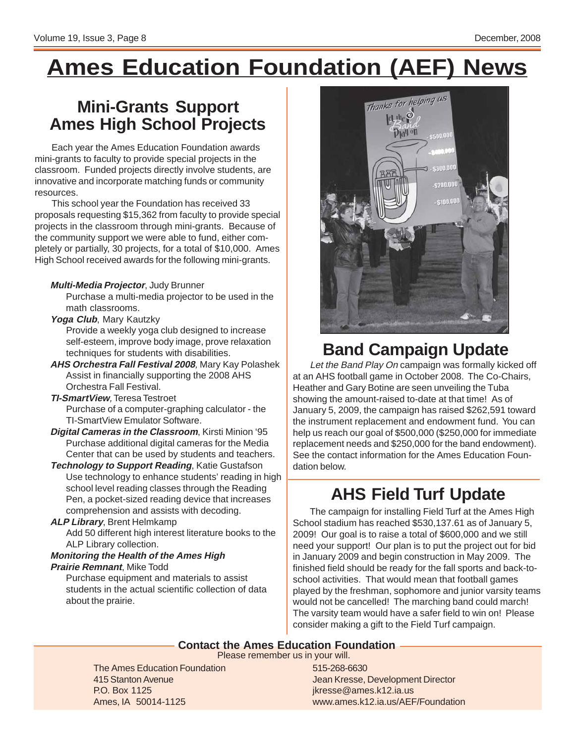# **Ames Education Foundation (AEF) News**

### **Mini-Grants Support Ames High School Projects**

Each year the Ames Education Foundation awards mini-grants to faculty to provide special projects in the classroom. Funded projects directly involve students, are innovative and incorporate matching funds or community resources.

This school year the Foundation has received 33 proposals requesting \$15,362 from faculty to provide special projects in the classroom through mini-grants. Because of the community support we were able to fund, either completely or partially, 30 projects, for a total of \$10,000. Ames High School received awards for the following mini-grants.

### **Multi-Media Projector**, Judy Brunner

Purchase a multi-media projector to be used in the math classrooms.

### **Yoga Club**, Mary Kautzky

Provide a weekly yoga club designed to increase self-esteem, improve body image, prove relaxation techniques for students with disabilities.

**AHS Orchestra Fall Festival 2008**, Mary Kay Polashek Assist in financially supporting the 2008 AHS Orchestra Fall Festival.

#### **TI-SmartView**, Teresa Testroet Purchase of a computer-graphing calculator - the TI-SmartView Emulator Software.

- **Digital Cameras in the Classroom**, Kirsti Minion '95 Purchase additional digital cameras for the Media Center that can be used by students and teachers.
- **Technology to Support Reading**, Katie Gustafson Use technology to enhance students' reading in high school level reading classes through the Reading Pen, a pocket-sized reading device that increases comprehension and assists with decoding.

### **ALP Library**, Brent Helmkamp

Add 50 different high interest literature books to the ALP Library collection.

#### **Monitoring the Health of the Ames High Prairie Remnant**, Mike Todd

Purchase equipment and materials to assist students in the actual scientific collection of data about the prairie.



### **Band Campaign Update**

Let the Band Play On campaign was formally kicked off at an AHS football game in October 2008. The Co-Chairs, Heather and Gary Botine are seen unveiling the Tuba showing the amount-raised to-date at that time! As of January 5, 2009, the campaign has raised \$262,591 toward the instrument replacement and endowment fund. You can help us reach our goal of \$500,000 (\$250,000 for immediate replacement needs and \$250,000 for the band endowment). See the contact information for the Ames Education Foundation below.

### **AHS Field Turf Update**

The campaign for installing Field Turf at the Ames High School stadium has reached \$530,137.61 as of January 5, 2009! Our goal is to raise a total of \$600,000 and we still need your support! Our plan is to put the project out for bid in January 2009 and begin construction in May 2009. The finished field should be ready for the fall sports and back-toschool activities. That would mean that football games played by the freshman, sophomore and junior varsity teams would not be cancelled! The marching band could march! The varsity team would have a safer field to win on! Please consider making a gift to the Field Turf campaign.

### **Contact the Ames Education Foundation**

Please remember us in your will.

The Ames Education Foundation 415 Stanton Avenue P.O. Box 1125 Ames, IA 50014-1125

515-268-6630 Jean Kresse, Development Director jkresse@ames.k12.ia.us www.ames.k12.ia.us/AEF/Foundation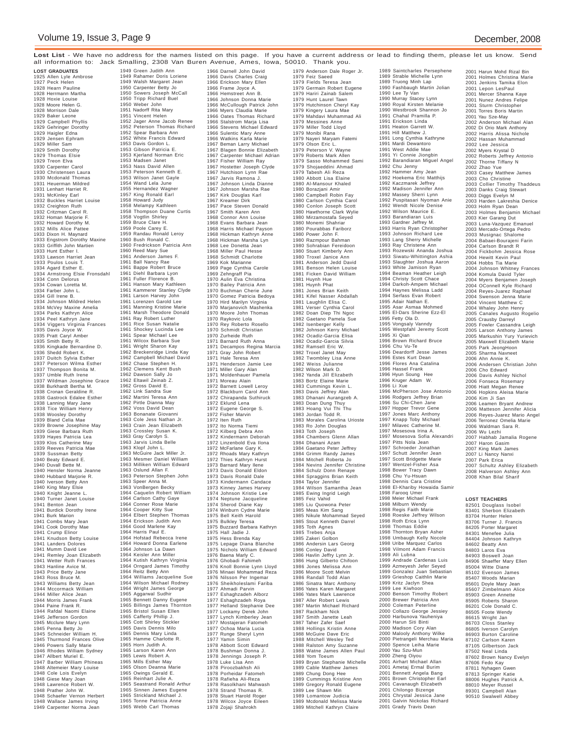**Lost List** - We have no address for the names listed on this page. If you have a current address or lead to finding them, please let us know. Send all information to: Jack Smalling, 2308 Van Buren Avenue, Ames, Iowa, 50010. Thank you.

**LOST GRADUATES** 1925 Allen Lyle Ambrose 1927 Peck Helen 1928 Hearn Pauline 1928 Herrmann Martha 1928 Hoxie Louise 1928 Moore Helen G 1928 Morrison Dale 1929 Baker Leone 1929 Campbell Phyllis 1929 Gehringer Dorothy 1929 Haigler Edna 1929 Jensen Ephram 1929 Miller Sam 1929 Smith Dorothy 1929 Thomas Elsie 1929 Treon Elva 1930 Carpenter Carol 1930 Christensen Laura 1930 Mcdonald Thomas 1931 Heuerman Mildred 1931 Lenhart Harriet R. 1931 McKinley Earl 1932 Buckles Harriet Louise 1932 Creighton Ruth 1932 Critzman Carol R. 1932 Homan Marjorie F. 1932 Howard Dorothy M. 1932 Mills Alice Pattee 1933 Dixon H. Maynard 1933 Engstrom Dorothy Maxine 1933 Griffith John Martien 1933 Hunt Esther I. 1933 Lawson Harriet Jean 1933 Poulos Louis T. 1934 Agard Esther E. 1934 Armstrong Elsie Fronsdahl 1934 Conn Delorus 1934 Cowan Loretta M. 1934 Farber John L. 1934 Gill Irene B. 1934 Johnson Mildred Helen 1934 McVey Maxine Amelia 1934 Parks Kathryn Alice 1934 Peel Kathryn Jane 1934 Viggers Virginia Frances 1935 Davis Joyce W. 1935 Pratt Caryl Amber 1935 Smith Betty R. 1936 Kingkade Bernardine D. 1936 Shedd Robert K. 1937 Duitch Sylvia Esther 1937 Peterson Wilma Esther 1937 Thompson Bonita M. 1937 Umble Ruth Irene 1937 Wildman Josephine Grace 1938 Burkhardt Bertha M. 1938 Cronan Geraldine R. 1938 Gastrock Edalee Esther 1938 Lanning Mary Jane 1938 Tice William Henry 1938 Woosley Dorothy 1939 Bland Celia Mae 1939 Browne Josephine May 1939 Giese Barbara Ruth 1939 Hayes Patricia Lea 1939 Klos Catherine May 1939 Reeves Patricia Mae 1939 Sussman Betty 1940 Beaty Edward E. 1940 Duvall Bette M. 1940 Hensler Norma Jeanne 1940 Hubbard Marjorie R. 1940 Iverson Betty Ann 1940 King Mary Elsie 1940 Knight Jeanne L. 1940 Turner Janet Louise 1941 Benton Jean 1941 Burdick Dorothy Irene 1941 Burk Marion 1941 Combs Mary Jean 1941 Cook Dorothy Mae 1941 Crump Elinor 1941 Knudson Betty Louise 1941 Landers Dolores 1941 Mumm David Lee 1941 Remley Joan Elizabeth 1941 Wetter Ruth Frances 1943 Hanline Avice M. 1943 Price Betty Jane 1943 Ross Bruce M. 1943 Williams Betty Jean 1944 Mccormack William 1944 Miller Alice Jean 1944 Morris James Frank 1944 Paine Frank R. 1944 Rafdal Naomi Elaine 1945 Jefferson Gordon 1945 Mcclure Mary Lynn 1945 Penna Betty Jo 1945 Schneider William H. 1945 Thurmond Frances Olive 1946 Powers Sally Marie 1946 Rhodes William Sydney 1947 Allbert Muriel E. 1947 Barber William Phineas 1948 Altemeier Mary Louise 1948 Cole Lois Evelyn 1948 Giese Mary Joan 1948 Lawrence Robert W. 1948 Prather John W. 1948 Schaefer Vernon Herbert 1948 Wallace James Irving 1949 Carpenter Norma Jean

1949 Green Judith Ann 1949 Rahamer Doris Loriene 1949 Walsh Margaret Jean 1950 Carpenter Betty Jo 1950 Sowers Joseph McCall 1950 Tripp Richard Buel 1950 Weber John 1951 Nadorff Rita Mary 1951 Vincent Helen 1952 Jager Anne Jacob Renee 1952 Peterson Thomas Richard 1952 Spear Barbara Ann 1952 White Francis Edward 1953 Davis Gordon L. 1953 Gibson Patricia E. 1953 Kjerland Norman Eric 1953 Madsen Janet 1953 Nass David Allen 1953 Peterson Kenneth E. 1953 Wilson Janet Gayle 1954 Wand Lela June 1955 Hernandez Wagner 1957 King Ronald Earl 1958 Howard Judy 1958 Melampy Kathleen 1958 Thompson Duane Curtis 1958 Vogtlin Shirley 1959 Bruce Clare H. 1959 Poole Carey E. 1959 Randau Ronald Leroy 1960 Bush Ronald C. 1960 Fredrickson Patricia Ann 1960 Reed Mary Sue 1961 Anderson James F. 1961 Ball Nancy Rae 1961 Bappe Robert Bruce 1961 Diehl Barbara Lyon 1961 Fuller Florence B. 1961 Hanson Mary Kathleen 1961 Kammerer Stanley Clyde 1961 Larson Harvey John 1961 Lorenzen Garold Lee 1961 Manning Kristine Marie 1961 Marsh Theodore Donald 1961 Ray Robert Luther 1961 Rice Susan Natalie 1961 Shockey Lucinda Lee 1961 Spear Michael Lee 1961 Wilcox Barbara Sue 1961 Wright Sharon Kay 1962 Breckenridge Linda Kay 1962 Campbell Michael David 1962 Chase Stephen H. 1962 Clemens Kent Bush 1962 Dawson Sally Jo 1962 Eltawil Zeinab Z. 1962 Gross David E. 1962 Link Sandra Sue 1962 Martini Teresa Ann 1962 Pirtle Dianna May 1962 Voss David Dean 1963 Bonanate Giovanni 1963 Cole Jess Nathan Jr. 1963 Crain Jean Elizabeth 1963 Crossley Susan K. 1963 Gray Carolyn S. 1963 Jarvis Linda Belle 1963 Klopf John L. 1963 McGuire Jack Miller Jr. 1963 Mesmer Daniel William 1963 Milliken William Edward 1963 Oslund Allan F. 1963 Peterson Stephen John 1963 Speer Anna M. 1963 VonBergen Becky 1964 Caquelin Robert William 1964 Carlson Cathy Gaye 1964 Conner Rose Marie 1964 Cooper Kitty Sue 1964 Elbert Stephen Thomas 1964 Erickson Judith Ann 1964 Good Marlene Kay 1964 Harris Paul E. 1964 Hofstad Rebecca Irene 1964 Howard Donna Earlene 1964 Johnson La Dawn 1964 Keisler Ann Miller 1964 Kutish Kathryn Virginia 1964 Orngard James Timothy 1964 Reitz Betty Ann 1964 Williams Jacqueline Sue 1964 Wilson Michael Rodney 1964 Wright James George 1965 Aggarwal Sudhir 1965 Bennett Danny Eugene 1965 Billings James Thornton 1965 Bristol Susan Ellen 1965 Cafferty Phillip J. 1965 Cott Shirley Stickler 1965 Davis Dennis Milo 1965 Dennis Mary Linda 1965 Hamme Charlotte R. 1965 Horn Judith A. 1965 Larson Karen Ann 1965 Lewis Robert A. 1965 Mills Esther May 1965 Olson Deanna Marie 1965 Owings Gerald E. 1965 Reinhart Julie A. 1965 Seastrand Ronald Arthur 1965 Sinnen James Eugene 1965 Strickland Michael J. 1965 Tonne Patricia Anne 1965 Webb Carl Thomas

1966 Darnell John David 1966 Davis Charles Craig 1966 Erickson Mary Ellen 1966 Frame Joyce A. 1966 Hemstreet Ann B. 1966 Johnson Donna Marie 1966 McCullough Patrick John 1966 Myers Claudia Marie 1966 Oates Thomas Richard 1966 Stalstrom Marja Lisa 1966 Stevens Michael Edward 1966 Sulentic Mary Anne 1966 Watkins Karla Marie 1967 Beman Larry Michael 1967 Blagen Bonnie Elizabeth 1967 Carpenter Michael Adrian 1967 Fisher William Ray 1967 Hostetter Joseph Clyde 1967 Hutchison Lynn Rae 1967 Jarvis Ramona J. 1967 Johnson Linda Dianne 1967 Johnson Marsha Rae 1967 Kirk Douglas Karl 1967 Kreamer Dirk 1967 Pace Steven Donald 1967 Smith Karen Ann 1968 Connor Ann Louise 1968 Evans Barbara Jean 1968 Harris Michael Payson 1968 Hickman Kathryn Anne 1968 Hickman Marsha Lyn 1968 Lee Donetta Jean 1968 Miller Paul Hesse 1968 Schmidt Charlotte 1969 Kok Marianne 1969 Page Cynthia Carole 1969 Zehngraff Pia 1970 Aulin Eva Christina 1970 Bailey Patricia Ann 1970 Buchman Cherie June 1970 Gomez Patricia Bedoya 1970 Hird Marilyn Virginia 1970 Marjanovich Mashenka 1970 Moore John Thomas 1970 Raykovic Lola 1970 Rey Roberto Rosello 1970 Schmidt Christian 1970 Zurheide Ruth 1971 Barnard Ruth Anna 1971 Decampos Regina Marcia 1971 Gray John Robert 1971 Hale Teresa Ann 1971 Henderson Jamie Lee 1971 Miller Gary Alan 1971 Moldenhauer Pamela 1971 Moreau Alain 1972 Barnett Lowell Leroy 1972 Blackburn Carol Ann 1972 Chirapanda Suthiruck 1972 Eklund Lena 1972 Eugene George S. 1972 Fisher Marvin 1972 Iten Ruth 1972 Ito Norma Tiemi 1972 Kilberg Debra Ann 1972 Kindermann Deborah 1972 Linzenbold Eva Ilona 1972 McFarlane Gary K. 1972 Rhoads Mary Kathryn 1972 Thies Kathryn Hurst 1973 Barnard Mary Ilene 1973 Davis Donald Eldon 1973 Davis Ronald Dale 1973 Kindermann Candace 1973 Kinney James Harvey 1974 Johnson Kristie Lee 1974 Neptune Jacqueline 1974 Sherod Diane Kay 1974 Winburn Cydne Marie 1975 Bell Keith Harold 1975 Bulkley Teresa 1975 Buzzard Barbara Kathryn 1975 Hall Jadie J. 1975 Hess Brenda Kay 1975 Lepage Diana Blanche 1975 Nichols William Edward 1976 Baena Marly C. 1976 Ghobadi Fahimeh 1976 Knoll Bonnie Lynn Lloyd 1976 Minaei Mohammad Reza 1976 Nilsson Per Ingemar 1976 Sheikholeslami Fariba 1977 Ahmadi Parvin 1977 Eshaghzadeh Alborz 1977 Eshaghzadeh Roya 1977 Helland Stephanie Dee 1977 Lockamy Derek John 1977 Lynch Kimberley Jean 1977 Mostajeran Fatomeh 1977 Ochoa Maria Lucia 1977 Runge Sheryl Lynn 1977 Yamin Simin 1978 Abbott Scott Edward 1978 Bushman Donna J. 1978 Jennings Joseph P. 1978 Luke Lisa Ann 1978 Piroozbakhsh Ali 1978 Porheidar Fatomeh 1978 Rafieha Ali-Reza 1978 Rasolkhani Mahwash 1978 Strand Thomas R. 1978 Stuart Harold Roger 1978 Wilcox Joyce Eileen 1978 Zojaji Shahrokh

1979 Anderson Dale Roger Jr. 1979 Feiz Saeed 1979 Fields Teresa Jean 1979 Germain Robert Eugene 1979 Hariri Zainab Salem 1979 Hunt Laurel Tawn 1979 Hutchinson Cheryl Kay 1979 Kingery Laura Mae 1979 Mahdavi Muhammad Ali 1979 Messines Anne 1979 Miller Todd Lloyd 1979 Monibi Rana 1979 Nayeri Maryam Fatemi 1979 Olson Eric L. 1979 Peterson V. Wayne 1979 Roberts Mark Allen 1979 Sasso Mohammed Sami 1979 Shojaeddini Ahmad 1979 Tabesh Ali Reza 1980 Abbott Lisa Elaine 1980 Al-Mansour Khaled 1980 Borazjani Amir 1980 Campbell Robin Fay 1980 Carlson Cynthia Carol 1980 Conlon Joseph Scott 1980 Hawthorne Clark Wylie 1980 Mirzamostafa Seyed 1980 Monemi Shahriar 1980 Pourabbas Fariborz 1980 Power John F. 1980 Razmpour Bahman 1980 Sohrabian Fereidoon 1980 Stuart Kimberly Ann 1980 Troxel Janice Ann 1981 Anderson Jedd David 1981 Benson Helen Louise 1981 Ficken David William 1981 Huynh Hue 1981 Huynh Phat 1981 Jones Brian Keith 1981 Kifel Nasser Abdallah 1981 Laughlin Elisa C. 1981 Verser Cynthia Carol 1982 Doan Diep Thi Ngoc 1982 Gaetano Pamela Sue 1982 Isenberger Kelly 1982 Johnson Kerry Michael 1982 Ocadiz-Garcia Elisa 1982 Ocadiz-Garcia Silvia 1982 Ramsell Eric W. 1982 Troxel Janet May 1982 Twombley Lisa Anne 1982 Weiss Julianne 1982 Wilson Mark D. 1982 Yanda Jill Elizabeth 1983 Bortz Elaine Marie 1983 Cummings Kevin L. 1983 Davis Jeffrey Alan 1983 Dhanani Aurangzeb A. 1983 Doan Dung Thuy 1983 Hoang Vui Thi Thu 1983 Jordan Todd R. 1983 Morales Carolina Urioste 1983 Ro John Douglas 1983 Toth Joseph 1984 Chambers Glenn Allan 1984 Dhanani Azam 1984 Gaetano Peter Jeffrey 1984 Grimm Randy James 1984 Mitchell Roberta Jo 1984 Nevins Jennifer Christine 1984 Schulz Donn Renaye 1984 Spraggins Brian Keith 1984 Taylor Jennifer 1984 Wilson Samantha Jean 1985 Ewing Ingrid Leigh 1985 Feiz Vahid 1985 Liu Quowona Peter 1985 Meas Kim Sang 1985 Nikule Mohammad Seyed 1985 Stout Kenneth Darrel 1985 Toth Agnes 1985 Trebes Anja 1985 Zakeri Golbon 1986 Andersin Lars Georg 1986 Conley David 1986 Havlin Jeffry Lynn Jr. 1986 Hung Gilberto Chifoon 1986 Jones Melissa Ann 1986 Moore Scott Melvin 1986 Randall Todd Alan 1986 Sinatra Marc Anthony 1986 Yates Karen Margaret 1986 Yates Mark Lawrence 1987 Aller Robert Lewis 1987 Martin Michael Richard 1987 Rackham Nick 1987 Smith Janette Leah 1987 Taher Zafer Saef 1988 Hollings Kristin Anne 1988 McGuire Dave Eric 1988 Mitchell Wesley Ted 1988 Ralston Amy Suzanne 1988 Watne James Allen Paul 1988 Yom Toeum 1989 Bryan Stephanie Michelle 1989 Cable Matthew James 1989 Chung Dong Hee 1989 Cummings Kristine Ann 1989 Gregory Ronald Eugene 1989 Lee Shawn Min 1989 Lomantow Judicia 1989 Mcdonald Melissa Marie 1989 Mitchell Kathryn Claire

1989 Saintcharles Persephene 1989 Strable Michelle Lynn 1989 Truong Minh Lap 1990 Fashbaugh Martin Jolian 1990 Lee Ty Van 1990 Murray Stacey Lynn 1990 Royal Kirsten Melanie 1990 Westbrook Shannon Jo 1991 Chahal Pramilla P. 1991 Erickson Linda 1991 Heaton Garrett W 1991 Hill Matthew J. 1991 Long Cynthia Kathryne 1991 Mardi Dewantoro 1991 West Addie Mae 1991 Yi Connie Jiongbin 1992 Barandiaran Miguel Angel 1992 Chu Jenny 1992 Hammer Amy Jean 1992 Hoekema Eric Matthijs 1992 Kaczmarek Jeffrey 1992 Madison Jennifer Ann 1992 Massey Sherri Lynn 1992 Puspitasari Nyoman Anie 1992 Wendt Nicole Denise 1992 Wilson Maurice E. 1993 Barandiaran Luis 1993 Gardner Jeffrey M. 1993 Harris Ryan Christopher 1993 Johnson Richard Lee 1993 Lang Sherry Michelle 1993 Ray Christene Ann 1993 Rozewski Ananda Joshua 1993 Siwatu-Whittington Ashia 1993 Slaughter Joshua Aaron 1993 White Jamison Ryan 1994 Beaman Heather Leigh 1994 Christy Scott Chace 1994 Darkoh-Ampem Michael 1994 Haynes Melissa Ladd 1994 Serfass Evan Robert 1995 Adair Nathan E. 1995 Asar Asmaa Mohmed 1995 El-Dars Sherine Ezz-El 1995 Fetty Ola D. 1995 Vongsaly Vanndy 1995 Westpfahl Jeremy Scott 1995 Xi Qian 1996 Brown Richard Bruce 1996 Chu Vu-Te 1996 Deardorff Jesse James 1996 Estes Kurt Dean 1996 Flores Ana Catalina 1996 Hassel Frank 1996 Hyun Soung Hee 1996 Kruger Adam W. 1996 Li Xue 1996 McPherson Jose Antonio 1996 Rodgers Jeffrey Brian 1996 Su Chi-Chen Jane 1997 Hopper Trevor Gene 1997 Jones Marc Anthony 1997 Knapp Toby Michael 1997 Milavec Catherine M. 1997 Mosesova Irina A. 1997 Mosesova Sofia Alexandri 1997 Pitts Nola Jean 1997 Schroeder Jonathan 1997 Schutt Jennifer Jean 1997 Scott Bridgette Marie 1997 Wentzel-Fisher Asa 1998 Bower Tracy Dawn 1998 Chu Yu-Hsuan 1998 Dennis Cara Cristine 1998 El-Khariby Howaida Samir 1998 Farooq Umer 1998 Meier Michael Frank 1998 Milburn Wendy 1998 Regis Faith Marie 1998 Roeske Jeffrey Wilson 1998 Roth Erica Lynn 1998 Thomas Eddie 1998 Thornton Bryan Asher 1998 Umbaugh Kelly Nocole 1998 Uribe Marquez Carlos 1998 Vilmont Adam Francis 1999 Ali Lubna 1999 Andrade Cardenas Luis 1999 Azmeyesh Jefer Seyed 1999 Gonzalez Juan Sebastian 1999 Grieshop Caithlin Marie 1999 Kritz Jaclyn Shea 1999 Lee Kiwhoon 2000 Benson Timothy Robert 2000 Brewer Patricia Ann 2000 Coleman Peterline 2000 Collazo George Jessiey 2000 Harbunova Yauheniya 2000 Harun Siti Binti 2000 Madison Cory Alan 2000 Malooly Anthony Wilke 2000 Pietrangeli Merchau Maria 2000 Spence Leiha Marie 2000 Yau Szu-Mun 2000 Zheng Oiyou 2001 Airhart Michael Allan 2001 Ametaj Ermal Burim 2001 Bennett Angela Bang 2001 Brown Christopher Earl 2001 Cavanaugh Elizabeth 2001 Chilongo Bizenge 2001 Chrystal Jessica Jane 2001 Galvin Nickolas Richard 2001 Grady Travis Dean

2001 Harun Mohd Rizal Bin 2001 Holmes Christina Marie 2001 Jenkins Tamika Elon 2001 Lepon LesPaul 2001 Mercer Shanna Kaye 2001 Nunez Andres Felipe 2001 Sturm Christopher<br>2001 Torres Boris Martin 2001 Torres Boris Martin 2001 Yau Sze-May 2002 Anderson Michael Alan 2002 Di Orio Mark Anthony 2002 Harris Alissa Nichole 2002 Hassan Muhammad 2002 Lee Jessica 2002 Myers Krystal D 2002 Roberts Jeffrey Antonio 2002 Thorne Tiffany N 2002 Zhao Yue 2003 Casey Matthew James 2003 Cho Christine 2003 Collier Timothy Thaddeus 2003 Danks Craig Stewart 2003 Diggs Evelyn M 2003 Harden Lakreshia Denice 2003 Holm Ryan Dean 2003 Holmes Benjamin Michael 2003 Kier Garang Dut 2003 Luna-Vazquez Emanuel 2003 Mercado-Ortega Pedro 2003 Musignac Shalome 2004 Babaei-Bourajeni Farin 2004 Carlson Brandt R 2004 Fickbohm Jessica Rose 2004 Hewitt Kevin Paul 2004 Hobbs Tia Marie 2004 Johnson Whitney Frances 2004 Komula David Tyler 2004 Myers Benjamen Joseph 2004 OConnell Kyle Richard 2004 Reyes-Juarez Raphael 2004 Swenson Jenna Marie 2004 Vincent Matthew C 2004 Whaley John Henry 2005 Canales Augusto Rogelio 2005 Crausby Darreyl 2005 Fowler Cassandra Leigh 2005 Larson Anthony James 2005 Markushin Yury Yurievich 2005 Maxwell Elizabeth Marie 2005 Park JeongHoon 2005 Sharma Navneet 2006 Ahn Annie K. 2006 Andersen Christian John 2006 Cho Edward 2006 Davis Ashley Nichol 2006 Fonseca Rosemary 2006 Hiatt Megan Renee 2006 Hopkins Aleisa Marie 2006 Kim Ji San 2006 Leamen Bryant Andrew 2006 Matteson Jennifer Alicia 2006 Reyes-Juarez Mario Angel 2006 Terronez Omelia Marie 2006 Waldman Sara R. 2006 Wu Lezhi 2007 Habhab Jamalia Rogene 2007 Haron Gasim 2007 King Mark James 2007 Li Nancy Nanxi 2007 Park Erica 2007 Schultz Ashley Elizabeth 2008 Halverson Ashley Ann 2008 Khan Bilal Sharif

**LOST TEACHERS** 82501 Douglass Isobel 83401 Sherbon Elizabeth 83704 Hunter Helen 83706 Turner J. Francis 84205 Porter Margaret 84301 Menefee Julia 84404 Johnson Kathryn 84602 Beatty Ann 84803 Laros Eva 84903 Boswell Joan 84906 Shaeffer Mary Ellen 85004 Witte Diane 85102 Evenson James 85407 Woods Marian 85601 Doyle Mary Jean 85607 Zimbelmann Alice 85903 Green Annette 85905 Roberts Sharon 86201 Cole Donald C. 86505 Foote Wendy 86615 Wright Jan 86703 Closs Stanley 86805 Iverson Carolyn 86903 Burton Caroline 87102 Carlson Karen 87105 Gilbertson Jack 87502 Neal Linda 87602 Brown Nancy Evelyn 87606 Fedo Kay 87811 Nyhagen Gwen 87813 Springer Katie 88006 Hughes Patrick A. 88010 Meyer Russel 89301 Campbell Alan 90510 Swalwell Abbey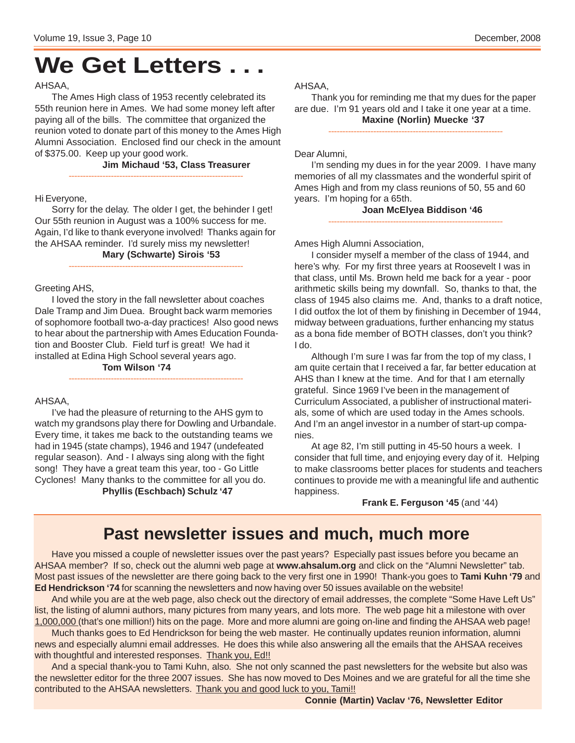### **We Get Letters . . .**

#### AHSAA,

The Ames High class of 1953 recently celebrated its 55th reunion here in Ames. We had some money left after paying all of the bills. The committee that organized the reunion voted to donate part of this money to the Ames High Alumni Association. Enclosed find our check in the amount of \$375.00. Keep up your good work.

**Jim Michaud '53, Class Treasurer**

#### Hi Everyone,

Sorry for the delay. The older I get, the behinder I get! Our 55th reunion in August was a 100% success for me. Again, I'd like to thank everyone involved! Thanks again for the AHSAA reminder. I'd surely miss my newsletter! **Mary (Schwarte) Sirois '53**

--------------------------------------------------------------

--------------------------------------------------------------

Greeting AHS,

I loved the story in the fall newsletter about coaches Dale Tramp and Jim Duea. Brought back warm memories of sophomore football two-a-day practices! Also good news to hear about the partnership with Ames Education Foundation and Booster Club. Field turf is great! We had it installed at Edina High School several years ago.

--------------------------------------------------------------

**Tom Wilson '74**

#### AHSAA,

I've had the pleasure of returning to the AHS gym to watch my grandsons play there for Dowling and Urbandale. Every time, it takes me back to the outstanding teams we had in 1945 (state champs), 1946 and 1947 (undefeated regular season). And - I always sing along with the fight song! They have a great team this year, too - Go Little Cyclones! Many thanks to the committee for all you do. **Phyllis (Eschbach) Schulz '47**

AHSAA,

Thank you for reminding me that my dues for the paper are due. I'm 91 years old and I take it one year at a time. **Maxine (Norlin) Muecke '37**

--------------------------------------------------------------

Dear Alumni,

I'm sending my dues in for the year 2009. I have many memories of all my classmates and the wonderful spirit of Ames High and from my class reunions of 50, 55 and 60 years. I'm hoping for a 65th.

> **Joan McElyea Biddison '46** --------------------------------------------------------------

Ames High Alumni Association,

I consider myself a member of the class of 1944, and here's why. For my first three years at Roosevelt I was in that class, until Ms. Brown held me back for a year - poor arithmetic skills being my downfall. So, thanks to that, the class of 1945 also claims me. And, thanks to a draft notice, I did outfox the lot of them by finishing in December of 1944, midway between graduations, further enhancing my status as a bona fide member of BOTH classes, don't you think? I do.

Although I'm sure I was far from the top of my class, I am quite certain that I received a far, far better education at AHS than I knew at the time. And for that I am eternally grateful. Since 1969 I've been in the management of Curriculum Associated, a publisher of instructional materials, some of which are used today in the Ames schools. And I'm an angel investor in a number of start-up companies.

At age 82, I'm still putting in 45-50 hours a week. I consider that full time, and enjoying every day of it. Helping to make classrooms better places for students and teachers continues to provide me with a meaningful life and authentic happiness.

**Frank E. Ferguson '45** (and '44)

### **Past newsletter issues and much, much more**

Have you missed a couple of newsletter issues over the past years? Especially past issues before you became an AHSAA member? If so, check out the alumni web page at **www.ahsalum.org** and click on the "Alumni Newsletter" tab. Most past issues of the newsletter are there going back to the very first one in 1990! Thank-you goes to **Tami Kuhn '79** and **Ed Hendrickson '74** for scanning the newsletters and now having over 50 issues available on the website!

And while you are at the web page, also check out the directory of email addresses, the complete "Some Have Left Us" list, the listing of alumni authors, many pictures from many years, and lots more. The web page hit a milestone with over 1,000,000 (that's one million!) hits on the page. More and more alumni are going on-line and finding the AHSAA web page!

Much thanks goes to Ed Hendrickson for being the web master. He continually updates reunion information, alumni news and especially alumni email addresses. He does this while also answering all the emails that the AHSAA receives with thoughtful and interested responses. Thank you, Ed!!

And a special thank-you to Tami Kuhn, also. She not only scanned the past newsletters for the website but also was the newsletter editor for the three 2007 issues. She has now moved to Des Moines and we are grateful for all the time she contributed to the AHSAA newsletters. Thank you and good luck to you, Tami!!

**Connie (Martin) Vaclav '76, Newsletter Editor**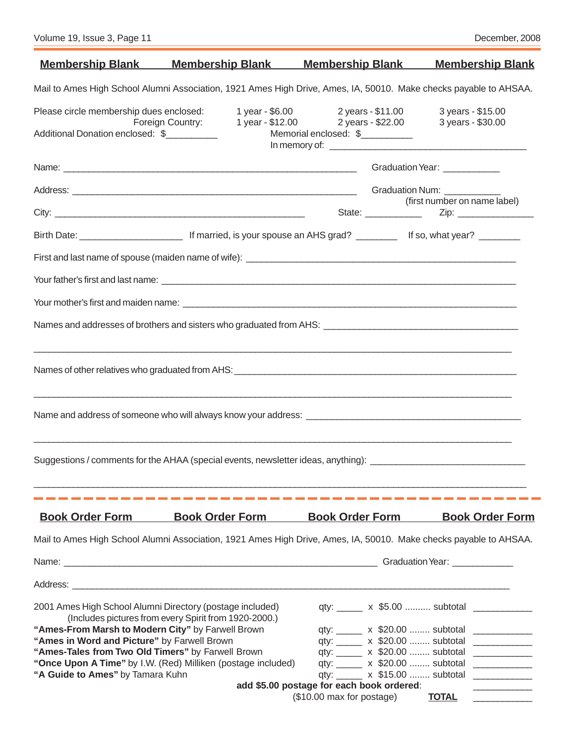| <u>Membership Blank Membership Blank Membership Blank</u>                                                                                     |                                                       |                                                                               | <b>Membership Blank</b>                          |  |  |
|-----------------------------------------------------------------------------------------------------------------------------------------------|-------------------------------------------------------|-------------------------------------------------------------------------------|--------------------------------------------------|--|--|
| Mail to Ames High School Alumni Association, 1921 Ames High Drive, Ames, IA, 50010. Make checks payable to AHSAA.                             |                                                       |                                                                               |                                                  |  |  |
| Please circle membership dues enclosed:                                                                                                       |                                                       | 1 year - \$6.00 2 years - \$11.00                                             | 3 years - \$15.00                                |  |  |
| Foreign Country:<br>Additional Donation enclosed: \$                                                                                          |                                                       | 1 year - \$12.00 2 years - \$22.00 3 years - \$30.00<br>Memorial enclosed: \$ |                                                  |  |  |
|                                                                                                                                               |                                                       |                                                                               |                                                  |  |  |
|                                                                                                                                               |                                                       |                                                                               | Graduation Year: ____________                    |  |  |
|                                                                                                                                               |                                                       |                                                                               |                                                  |  |  |
|                                                                                                                                               |                                                       |                                                                               | (first number on name label)                     |  |  |
| Birth Date: <u>___________________________</u> If married, is your spouse an AHS grad? __________________ If so, what year? _________         |                                                       |                                                                               |                                                  |  |  |
|                                                                                                                                               |                                                       |                                                                               |                                                  |  |  |
|                                                                                                                                               |                                                       |                                                                               |                                                  |  |  |
|                                                                                                                                               |                                                       |                                                                               |                                                  |  |  |
|                                                                                                                                               |                                                       |                                                                               |                                                  |  |  |
|                                                                                                                                               |                                                       |                                                                               |                                                  |  |  |
|                                                                                                                                               |                                                       |                                                                               |                                                  |  |  |
| ,我们也不会有什么。""我们的人,我们也不会有什么?""我们的人,我们也不会有什么?""我们的人,我们也不会有什么?""我们的人,我们也不会有什么?""我们的人<br><u> 1989 - John Stein, Amerikaansk politiker († 1908)</u> |                                                       |                                                                               |                                                  |  |  |
|                                                                                                                                               |                                                       |                                                                               |                                                  |  |  |
| Suggestions / comments for the AHAA (special events, newsletter ideas, anything): ____________________________                                |                                                       |                                                                               |                                                  |  |  |
|                                                                                                                                               |                                                       |                                                                               |                                                  |  |  |
| <b>Book Order Form</b>                                                                                                                        | <b>Book Order Form</b>                                | <b>Book Order Form</b>                                                        | <b>Book Order Form</b>                           |  |  |
| Mail to Ames High School Alumni Association, 1921 Ames High Drive, Ames, IA, 50010. Make checks payable to AHSAA.                             |                                                       |                                                                               |                                                  |  |  |
|                                                                                                                                               |                                                       |                                                                               |                                                  |  |  |
|                                                                                                                                               |                                                       |                                                                               |                                                  |  |  |
| 2001 Ames High School Alumni Directory (postage included)                                                                                     |                                                       |                                                                               | qty: _______ x \$5.00  subtotal _____________    |  |  |
|                                                                                                                                               | (Includes pictures from every Spirit from 1920-2000.) |                                                                               |                                                  |  |  |
| "Ames-From Marsh to Modern City" by Farwell Brown<br>"Ames in Word and Picture" by Farwell Brown                                              |                                                       | qty: ______ x \$20.00  subtotal                                               | qty: ______ x \$20.00  subtotal _____________    |  |  |
| "Ames-Tales from Two Old Timers" by Farwell Brown                                                                                             |                                                       | qty: ______ x \$20.00  subtotal                                               | <u> Listen van die Stad van die Stad van die</u> |  |  |
| "Once Upon A Time" by I.W. (Red) Milliken (postage included)                                                                                  |                                                       | qty: ______ x \$20.00  subtotal                                               | <u> Liston de la componenta</u>                  |  |  |
| "A Guide to Ames" by Tamara Kuhn                                                                                                              |                                                       | qty: ______ x \$15.00  subtotal                                               |                                                  |  |  |
|                                                                                                                                               |                                                       | add \$5.00 postage for each book ordered:<br>(\$10.00 max for postage)        | <u>TOTAL</u>                                     |  |  |